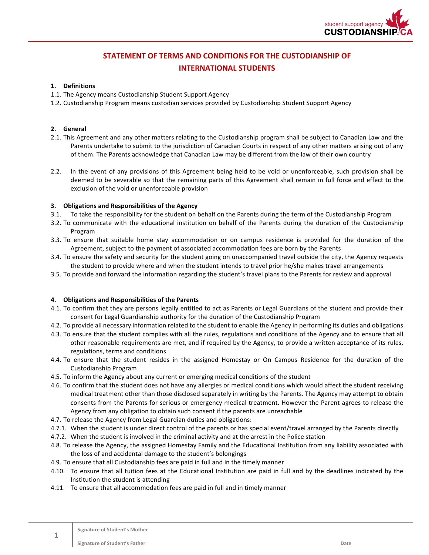

# **STATEMENT OF TERMS AND CONDITIONS FOR THE CUSTODIANSHIP OF INTERNATIONAL STUDENTS**

## **1. Definitions**

- 1.1. The Agency means Custodianship Student Support Agency
- 1.2. Custodianship Program means custodian services provided by Custodianship Student Support Agency

## **2. General**

- 2.1. This Agreement and any other matters relating to the Custodianship program shall be subject to Canadian Law and the Parents undertake to submit to the jurisdiction of Canadian Courts in respect of any other matters arising out of any of them. The Parents acknowledge that Canadian Law may be different from the law of their own country
- 2.2. In the event of any provisions of this Agreement being held to be void or unenforceable, such provision shall be deemed to be severable so that the remaining parts of this Agreement shall remain in full force and effect to the exclusion of the void or unenforceable provision

## **3.** Obligations and Responsibilities of the Agency

- 3.1. To take the responsibility for the student on behalf on the Parents during the term of the Custodianship Program
- 3.2. To communicate with the educational institution on behalf of the Parents during the duration of the Custodianship Program
- 3.3. To ensure that suitable home stay accommodation or on campus residence is provided for the duration of the Agreement, subject to the payment of associated accommodation fees are born by the Parents
- 3.4. To ensure the safety and security for the student going on unaccompanied travel outside the city, the Agency requests the student to provide where and when the student intends to travel prior he/she makes travel arrangements
- 3.5. To provide and forward the information regarding the student's travel plans to the Parents for review and approval

#### **4.** Obligations and Responsibilities of the Parents

- 4.1. To confirm that they are persons legally entitled to act as Parents or Legal Guardians of the student and provide their consent for Legal Guardianship authority for the duration of the Custodianship Program
- 4.2. To provide all necessary information related to the student to enable the Agency in performing its duties and obligations
- 4.3. To ensure that the student complies with all the rules, regulations and conditions of the Agency and to ensure that all other reasonable requirements are met, and if required by the Agency, to provide a written acceptance of its rules, regulations, terms and conditions
- 4.4. To ensure that the student resides in the assigned Homestay or On Campus Residence for the duration of the Custodianship Program
- 4.5. To inform the Agency about any current or emerging medical conditions of the student
- 4.6. To confirm that the student does not have any allergies or medical conditions which would affect the student receiving medical treatment other than those disclosed separately in writing by the Parents. The Agency may attempt to obtain consents from the Parents for serious or emergency medical treatment. However the Parent agrees to release the Agency from any obligation to obtain such consent if the parents are unreachable
- 4.7. To release the Agency from Legal Guardian duties and obligations:
- 4.7.1. When the student is under direct control of the parents or has special event/travel arranged by the Parents directly
- 4.7.2. When the student is involved in the criminal activity and at the arrest in the Police station
- 4.8. To release the Agency, the assigned Homestay Family and the Educational Institution from any liability associated with the loss of and accidental damage to the student's belongings
- 4.9. To ensure that all Custodianship fees are paid in full and in the timely manner
- 4.10. To ensure that all tuition fees at the Educational Institution are paid in full and by the deadlines indicated by the Institution the student is attending
- 4.11. To ensure that all accommodation fees are paid in full and in timely manner

**1**